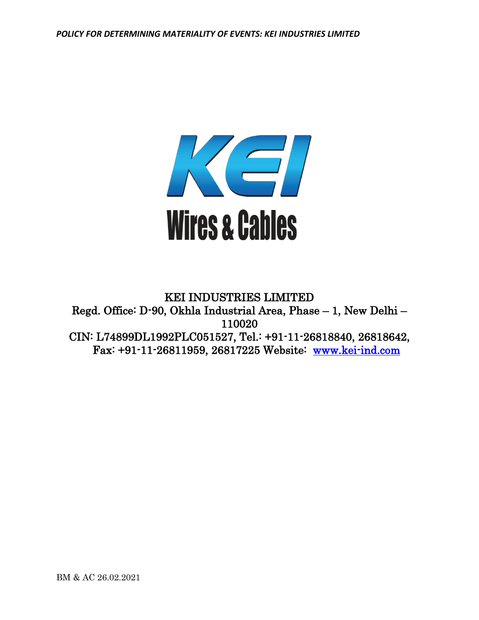

# KEI INDUSTRIES LIMITED Regd. Office: D-90, Okhla Industrial Area, Phase – 1, New Delhi – 110020 CIN: L74899DL1992PLC051527, Tel.: +91-11-26818840, 26818642, Fax: +91-11-26811959, 26817225 Website: [www.kei-ind.com](http://www.kei-ind.com/)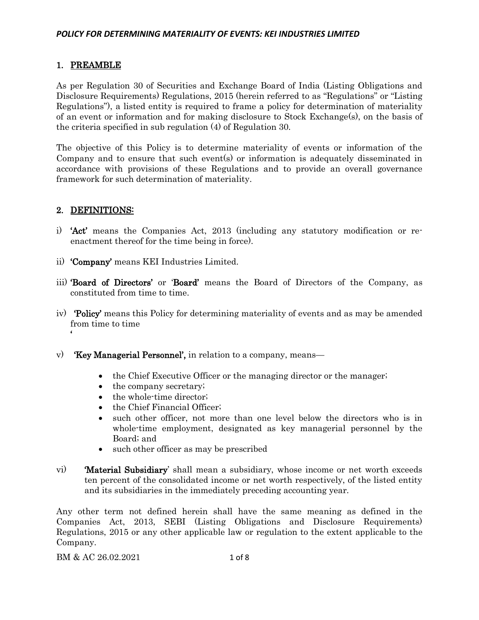# 1. PREAMBLE

As per Regulation 30 of Securities and Exchange Board of India (Listing Obligations and Disclosure Requirements) Regulations, 2015 (herein referred to as "Regulations" or "Listing Regulations"), a listed entity is required to frame a policy for determination of materiality of an event or information and for making disclosure to Stock Exchange(s), on the basis of the criteria specified in sub regulation (4) of Regulation 30.

The objective of this Policy is to determine materiality of events or information of the Company and to ensure that such event(s) or information is adequately disseminated in accordance with provisions of these Regulations and to provide an overall governance framework for such determination of materiality.

## 2. DEFINITIONS:

'

- i) 'Act' means the Companies Act, 2013 (including any statutory modification or reenactment thereof for the time being in force).
- ii) 'Company' means KEI Industries Limited.
- iii) 'Board of Directors' or 'Board' means the Board of Directors of the Company, as constituted from time to time.
- iv) 'Policy' means this Policy for determining materiality of events and as may be amended from time to time
- v) 'Key Managerial Personnel', in relation to a company, means—
	- the Chief Executive Officer or the managing director or the manager;
	- the company secretary;
	- the whole-time director;
	- the Chief Financial Officer;
	- such other officer, not more than one level below the directors who is in whole-time employment, designated as key managerial personnel by the Board; and
	- such other officer as may be prescribed
- vi) 'Material Subsidiary' shall mean a subsidiary, whose income or net worth exceeds ten percent of the consolidated income or net worth respectively, of the listed entity and its subsidiaries in the immediately preceding accounting year.

Any other term not defined herein shall have the same meaning as defined in the Companies Act, 2013, SEBI (Listing Obligations and Disclosure Requirements) Regulations, 2015 or any other applicable law or regulation to the extent applicable to the Company.

BM & AC 26.02.2021 1 of 8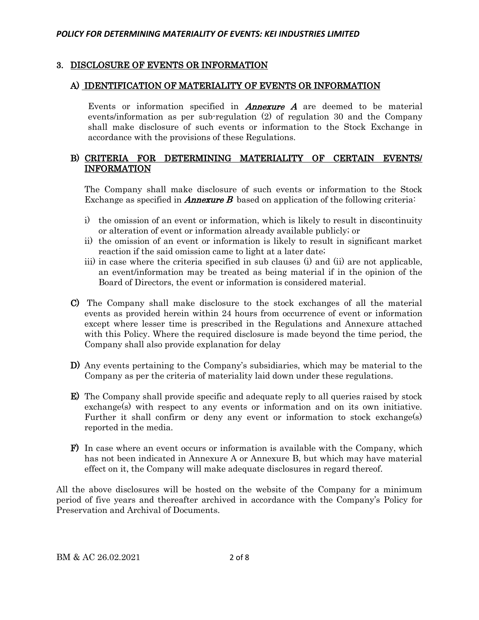### 3. DISCLOSURE OF EVENTS OR INFORMATION

#### A) IDENTIFICATION OF MATERIALITY OF EVENTS OR INFORMATION

Events or information specified in **Annexure A** are deemed to be material events/information as per sub-regulation (2) of regulation 30 and the Company shall make disclosure of such events or information to the Stock Exchange in accordance with the provisions of these Regulations.

## B) CRITERIA FOR DETERMINING MATERIALITY OF CERTAIN EVENTS/ INFORMATION

The Company shall make disclosure of such events or information to the Stock Exchange as specified in **Annexure B** based on application of the following criteria:

- i) the omission of an event or information, which is likely to result in discontinuity or alteration of event or information already available publicly; or
- ii) the omission of an event or information is likely to result in significant market reaction if the said omission came to light at a later date;
- iii) in case where the criteria specified in sub clauses (i) and (ii) are not applicable, an event/information may be treated as being material if in the opinion of the Board of Directors, the event or information is considered material.
- C) The Company shall make disclosure to the stock exchanges of all the material events as provided herein within 24 hours from occurrence of event or information except where lesser time is prescribed in the Regulations and Annexure attached with this Policy. Where the required disclosure is made beyond the time period, the Company shall also provide explanation for delay
- D) Any events pertaining to the Company's subsidiaries, which may be material to the Company as per the criteria of materiality laid down under these regulations.
- E) The Company shall provide specific and adequate reply to all queries raised by stock exchange(s) with respect to any events or information and on its own initiative. Further it shall confirm or deny any event or information to stock exchange(s) reported in the media.
- F) In case where an event occurs or information is available with the Company, which has not been indicated in Annexure A or Annexure B, but which may have material effect on it, the Company will make adequate disclosures in regard thereof.

All the above disclosures will be hosted on the website of the Company for a minimum period of five years and thereafter archived in accordance with the Company's Policy for Preservation and Archival of Documents.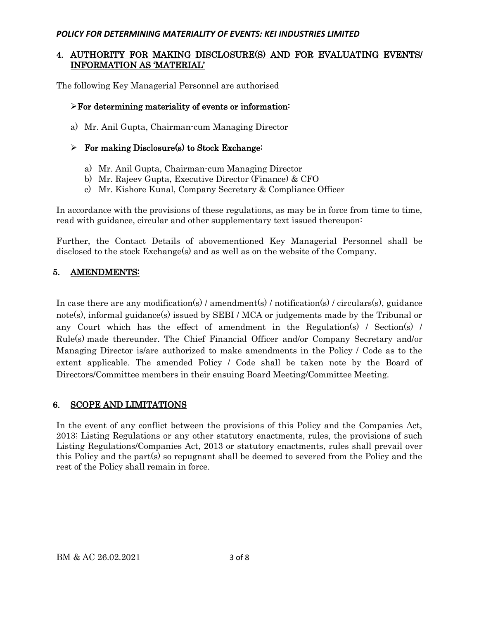## 4. AUTHORITY FOR MAKING DISCLOSURE(S) AND FOR EVALUATING EVENTS/ INFORMATION AS 'MATERIAL'

The following Key Managerial Personnel are authorised

## ➢For determining materiality of events or information:

a) Mr. Anil Gupta, Chairman-cum Managing Director

## $\triangleright$  For making Disclosure(s) to Stock Exchange:

- a) Mr. Anil Gupta, Chairman-cum Managing Director
- b) Mr. Rajeev Gupta, Executive Director (Finance) & CFO
- c) Mr. Kishore Kunal, Company Secretary & Compliance Officer

In accordance with the provisions of these regulations, as may be in force from time to time, read with guidance, circular and other supplementary text issued thereupon:

Further, the Contact Details of abovementioned Key Managerial Personnel shall be disclosed to the stock Exchange(s) and as well as on the website of the Company.

## 5. AMENDMENTS:

In case there are any modification(s) / amendment(s) / notification(s) / circulars(s), guidance note(s), informal guidance(s) issued by SEBI / MCA or judgements made by the Tribunal or any Court which has the effect of amendment in the Regulation(s) / Section(s) / Rule(s) made thereunder. The Chief Financial Officer and/or Company Secretary and/or Managing Director is/are authorized to make amendments in the Policy / Code as to the extent applicable. The amended Policy / Code shall be taken note by the Board of Directors/Committee members in their ensuing Board Meeting/Committee Meeting.

## 6. SCOPE AND LIMITATIONS

In the event of any conflict between the provisions of this Policy and the Companies Act, 2013; Listing Regulations or any other statutory enactments, rules, the provisions of such Listing Regulations/Companies Act, 2013 or statutory enactments, rules shall prevail over this Policy and the part(s) so repugnant shall be deemed to severed from the Policy and the rest of the Policy shall remain in force.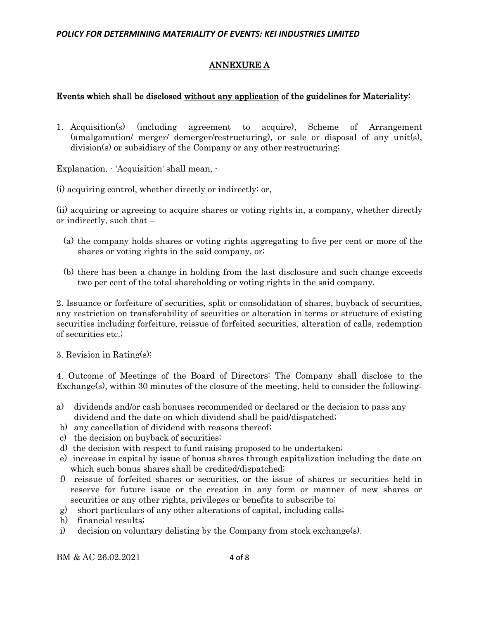## ANNEXURE A

### Events which shall be disclosed without any application of the guidelines for Materiality:

1. Acquisition(s) (including agreement to acquire), Scheme of Arrangement (amalgamation/ merger/ demerger/restructuring), or sale or disposal of any unit(s), division(s) or subsidiary of the Company or any other restructuring;

Explanation. - 'Acquisition' shall mean, -

(i) acquiring control, whether directly or indirectly; or,

(ii) acquiring or agreeing to acquire shares or voting rights in, a company, whether directly or indirectly, such that –

- (a) the company holds shares or voting rights aggregating to five per cent or more of the shares or voting rights in the said company, or;
- (b) there has been a change in holding from the last disclosure and such change exceeds two per cent of the total shareholding or voting rights in the said company.

2. Issuance or forfeiture of securities, split or consolidation of shares, buyback of securities, any restriction on transferability of securities or alteration in terms or structure of existing securities including forfeiture, reissue of forfeited securities, alteration of calls, redemption of securities etc.;

3. Revision in Rating(s);

4. Outcome of Meetings of the Board of Directors: The Company shall disclose to the Exchange(s), within 30 minutes of the closure of the meeting, held to consider the following:

- a) dividends and/or cash bonuses recommended or declared or the decision to pass any dividend and the date on which dividend shall be paid/dispatched;
- b) any cancellation of dividend with reasons thereof;
- c) the decision on buyback of securities;
- d) the decision with respect to fund raising proposed to be undertaken;
- e) increase in capital by issue of bonus shares through capitalization including the date on which such bonus shares shall be credited/dispatched;
- f) reissue of forfeited shares or securities, or the issue of shares or securities held in reserve for future issue or the creation in any form or manner of new shares or securities or any other rights, privileges or benefits to subscribe to;
- g) short particulars of any other alterations of capital, including calls;
- h) financial results;
- i) decision on voluntary delisting by the Company from stock exchange(s).

BM & AC 26.02.2021 4 of 8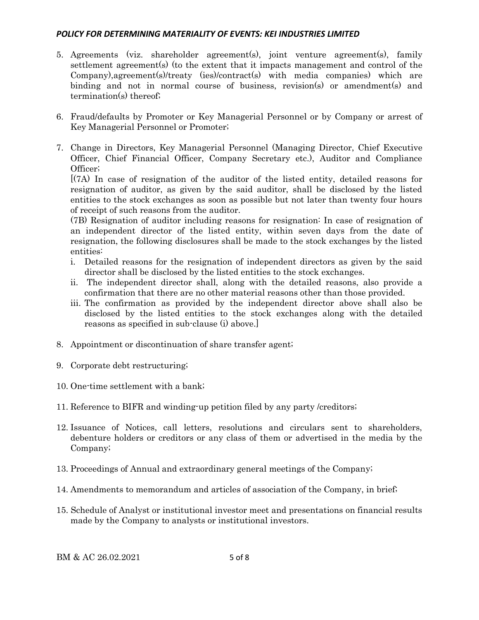- 5. Agreements (viz. shareholder agreement(s), joint venture agreement(s), family settlement agreement(s) (to the extent that it impacts management and control of the Company),agreement(s)/treaty (ies)/contract(s) with media companies) which are binding and not in normal course of business, revision(s) or amendment(s) and termination(s) thereof;
- 6. Fraud/defaults by Promoter or Key Managerial Personnel or by Company or arrest of Key Managerial Personnel or Promoter;
- 7. Change in Directors, Key Managerial Personnel (Managing Director, Chief Executive Officer, Chief Financial Officer, Company Secretary etc.), Auditor and Compliance Officer;

[(7A) In case of resignation of the auditor of the listed entity, detailed reasons for resignation of auditor, as given by the said auditor, shall be disclosed by the listed entities to the stock exchanges as soon as possible but not later than twenty four hours of receipt of such reasons from the auditor.

(7B) Resignation of auditor including reasons for resignation: In case of resignation of an independent director of the listed entity, within seven days from the date of resignation, the following disclosures shall be made to the stock exchanges by the listed entities:

- i. Detailed reasons for the resignation of independent directors as given by the said director shall be disclosed by the listed entities to the stock exchanges.
- ii. The independent director shall, along with the detailed reasons, also provide a confirmation that there are no other material reasons other than those provided.
- iii. The confirmation as provided by the independent director above shall also be disclosed by the listed entities to the stock exchanges along with the detailed reasons as specified in sub-clause (i) above.]
- 8. Appointment or discontinuation of share transfer agent;
- 9. Corporate debt restructuring;
- 10. One-time settlement with a bank;
- 11. Reference to BIFR and winding-up petition filed by any party /creditors;
- 12. Issuance of Notices, call letters, resolutions and circulars sent to shareholders, debenture holders or creditors or any class of them or advertised in the media by the Company;
- 13. Proceedings of Annual and extraordinary general meetings of the Company;
- 14. Amendments to memorandum and articles of association of the Company, in brief;
- 15. Schedule of Analyst or institutional investor meet and presentations on financial results made by the Company to analysts or institutional investors.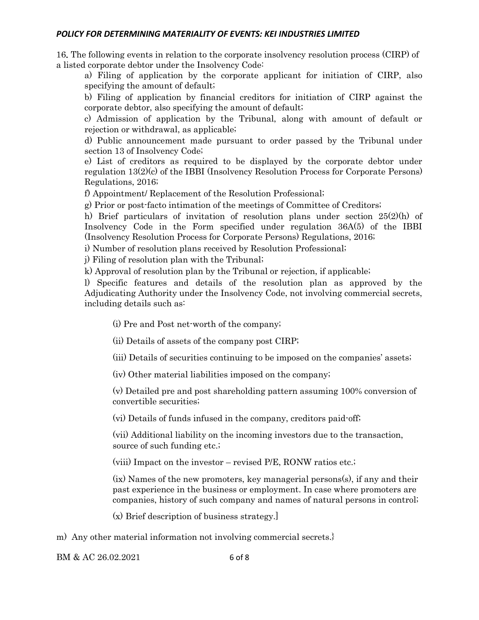16. The following events in relation to the corporate insolvency resolution process (CIRP) of a listed corporate debtor under the Insolvency Code:

a) Filing of application by the corporate applicant for initiation of CIRP, also specifying the amount of default;

b) Filing of application by financial creditors for initiation of CIRP against the corporate debtor, also specifying the amount of default;

c) Admission of application by the Tribunal, along with amount of default or rejection or withdrawal, as applicable;

d) Public announcement made pursuant to order passed by the Tribunal under section 13 of Insolvency Code;

e) List of creditors as required to be displayed by the corporate debtor under regulation 13(2)(c) of the IBBI (Insolvency Resolution Process for Corporate Persons) Regulations, 2016;

f) Appointment/ Replacement of the Resolution Professional;

g) Prior or post-facto intimation of the meetings of Committee of Creditors;

h) Brief particulars of invitation of resolution plans under section  $25(2)(h)$  of Insolvency Code in the Form specified under regulation 36A(5) of the IBBI (Insolvency Resolution Process for Corporate Persons) Regulations, 2016;

i) Number of resolution plans received by Resolution Professional;

j) Filing of resolution plan with the Tribunal;

k) Approval of resolution plan by the Tribunal or rejection, if applicable;

l) Specific features and details of the resolution plan as approved by the Adjudicating Authority under the Insolvency Code, not involving commercial secrets, including details such as:

(i) Pre and Post net-worth of the company;

(ii) Details of assets of the company post CIRP;

(iii) Details of securities continuing to be imposed on the companies' assets;

(iv) Other material liabilities imposed on the company;

(v) Detailed pre and post shareholding pattern assuming 100% conversion of convertible securities;

(vi) Details of funds infused in the company, creditors paid-off;

(vii) Additional liability on the incoming investors due to the transaction, source of such funding etc.;

(viii) Impact on the investor – revised P/E, RONW ratios etc.;

(ix) Names of the new promoters, key managerial persons(s), if any and their past experience in the business or employment. In case where promoters are companies, history of such company and names of natural persons in control;

(x) Brief description of business strategy.]

m) Any other material information not involving commercial secrets.}

BM & AC 26.02.2021 6 of 8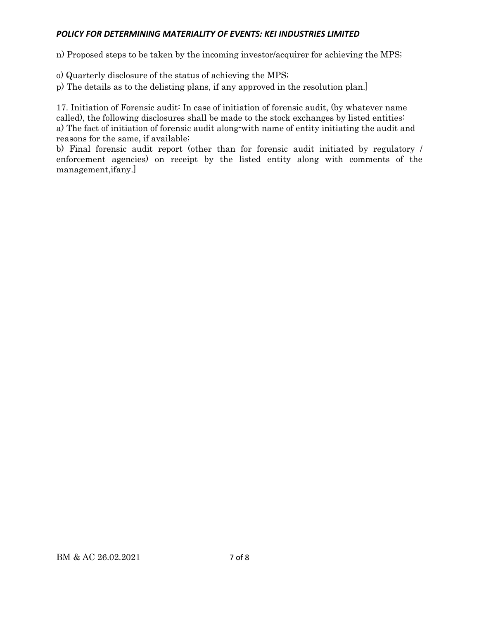n) Proposed steps to be taken by the incoming investor/acquirer for achieving the MPS;

o) Quarterly disclosure of the status of achieving the MPS;

p) The details as to the delisting plans, if any approved in the resolution plan.]

17. Initiation of Forensic audit: In case of initiation of forensic audit, (by whatever name called), the following disclosures shall be made to the stock exchanges by listed entities: a) The fact of initiation of forensic audit along-with name of entity initiating the audit and reasons for the same, if available;

b) Final forensic audit report (other than for forensic audit initiated by regulatory / enforcement agencies) on receipt by the listed entity along with comments of the management,ifany.]